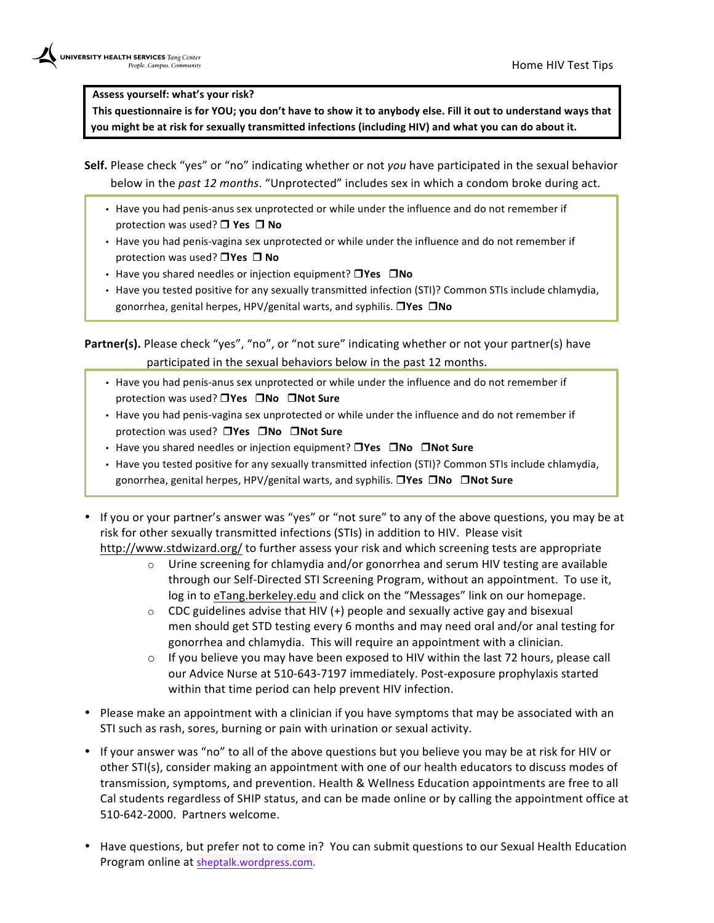### Assess yourself: what's your risk?

This questionnaire is for YOU; you don't have to show it to anybody else. Fill it out to understand ways that you might be at risk for sexually transmitted infections (including HIV) and what you can do about it.

Self. Please check "yes" or "no" indicating whether or not you have participated in the sexual behavior below in the *past 12 months*. "Unprotected" includes sex in which a condom broke during act.

- Have you had penis-anus sex unprotected or while under the influence and do not remember if protection was used? □ Yes □ No
- Have you had penis-vagina sex unprotected or while under the influence and do not remember if protection was used? □Yes □ No
- Have you shared needles or injection equipment?  $\Box$  Yes  $\Box$  No
- Have you tested positive for any sexually transmitted infection (STI)? Common STIs include chlamydia, gonorrhea, genital herpes, HPV/genital warts, and syphilis. OYes ONo

**Partner(s).** Please check "yes", "no", or "not sure" indicating whether or not your partner(s) have participated in the sexual behaviors below in the past 12 months.

- Have you had penis-anus sex unprotected or while under the influence and do not remember if protection was used? □Yes □No □Not Sure
- Have you had penis-vagina sex unprotected or while under the influence and do not remember if protection was used? **DYes DNo DNot Sure**
- Have you shared needles or injection equipment? **DYes ONo DNot Sure**
- Have you tested positive for any sexually transmitted infection (STI)? Common STIs include chlamydia, gonorrhea, genital herpes, HPV/genital warts, and syphilis. **Nes ONo ONot Sure**
- If you or your partner's answer was "yes" or "not sure" to any of the above questions, you may be at risk for other sexually transmitted infections (STIs) in addition to HIV. Please visit http://www.stdwizard.org/ to further assess your risk and which screening tests are appropriate
	- $\circ$  Urine screening for chlamydia and/or gonorrhea and serum HIV testing are available through our Self-Directed STI Screening Program, without an appointment. To use it, log in to eTang.berkeley.edu and click on the "Messages" link on our homepage.
	- $\circ$  CDC guidelines advise that HIV (+) people and sexually active gay and bisexual men should get STD testing every 6 months and may need oral and/or anal testing for gonorrhea and chlamydia. This will require an appointment with a clinician.
	- $\circ$  If you believe you may have been exposed to HIV within the last 72 hours, please call our Advice Nurse at 510-643-7197 immediately. Post-exposure prophylaxis started within that time period can help prevent HIV infection.
- Please make an appointment with a clinician if you have symptoms that may be associated with an STI such as rash, sores, burning or pain with urination or sexual activity.
- If your answer was "no" to all of the above questions but you believe you may be at risk for HIV or other STI(s), consider making an appointment with one of our health educators to discuss modes of transmission, symptoms, and prevention. Health & Wellness Education appointments are free to all Cal students regardless of SHIP status, and can be made online or by calling the appointment office at 510-642-2000. Partners welcome.
- Have questions, but prefer not to come in? You can submit questions to our Sexual Health Education Program online at sheptalk.wordpress.com.